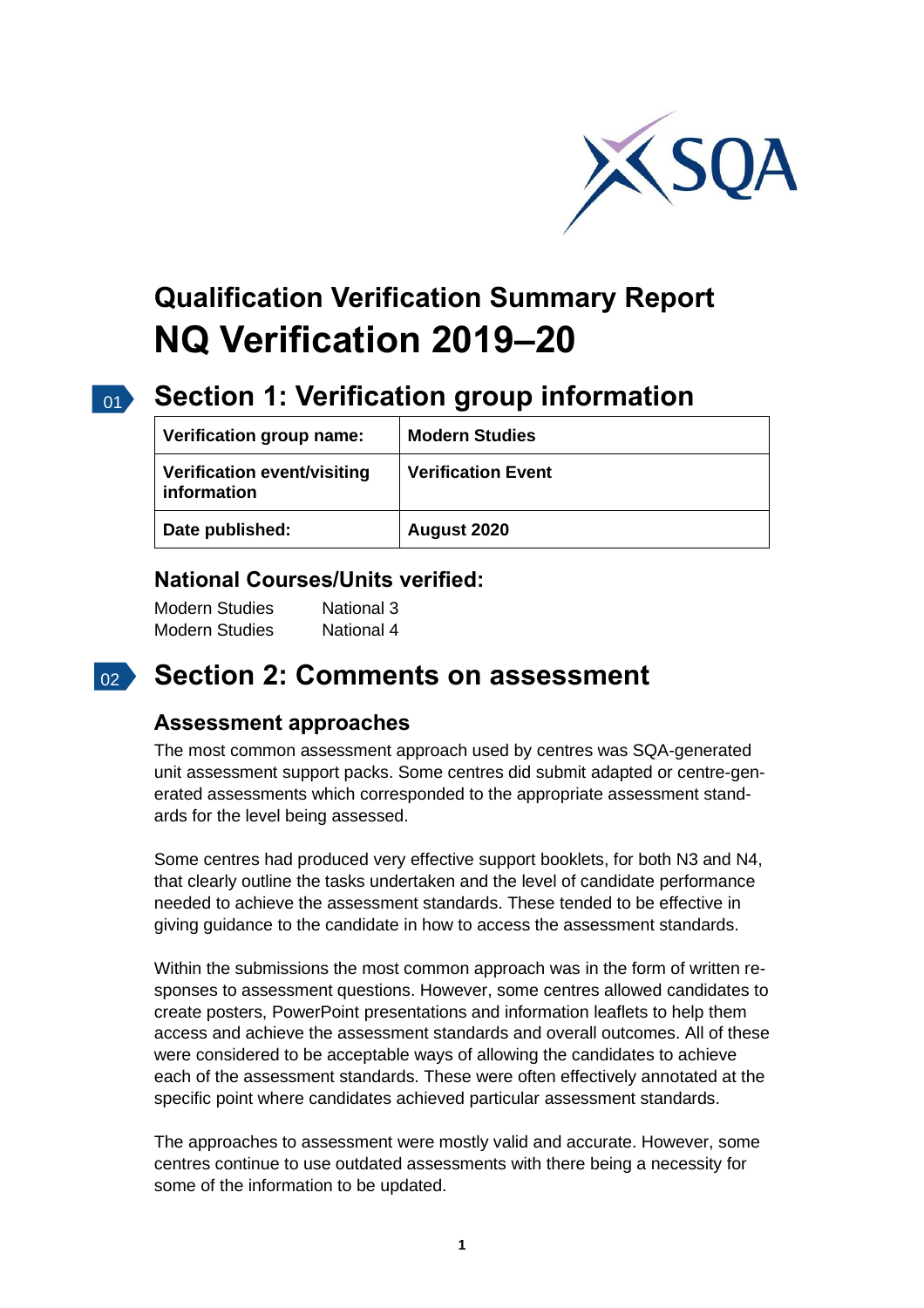

# **Qualification Verification Summary Report NQ Verification 2019–20**

#### $\overline{01}$

## **Section 1: Verification group information**

| Verification group name:                          | <b>Modern Studies</b>     |
|---------------------------------------------------|---------------------------|
| <b>Verification event/visiting</b><br>information | <b>Verification Event</b> |
| Date published:                                   | August 2020               |

### **National Courses/Units verified:**

| <b>Modern Studies</b> | National 3 |
|-----------------------|------------|
| <b>Modern Studies</b> | National 4 |

### 02 **Section 2: Comments on assessment**

#### **Assessment approaches**

The most common assessment approach used by centres was SQA-generated unit assessment support packs. Some centres did submit adapted or centre-generated assessments which corresponded to the appropriate assessment standards for the level being assessed.

Some centres had produced very effective support booklets, for both N3 and N4, that clearly outline the tasks undertaken and the level of candidate performance needed to achieve the assessment standards. These tended to be effective in giving guidance to the candidate in how to access the assessment standards.

Within the submissions the most common approach was in the form of written responses to assessment questions. However, some centres allowed candidates to create posters, PowerPoint presentations and information leaflets to help them access and achieve the assessment standards and overall outcomes. All of these were considered to be acceptable ways of allowing the candidates to achieve each of the assessment standards. These were often effectively annotated at the specific point where candidates achieved particular assessment standards.

The approaches to assessment were mostly valid and accurate. However, some centres continue to use outdated assessments with there being a necessity for some of the information to be updated.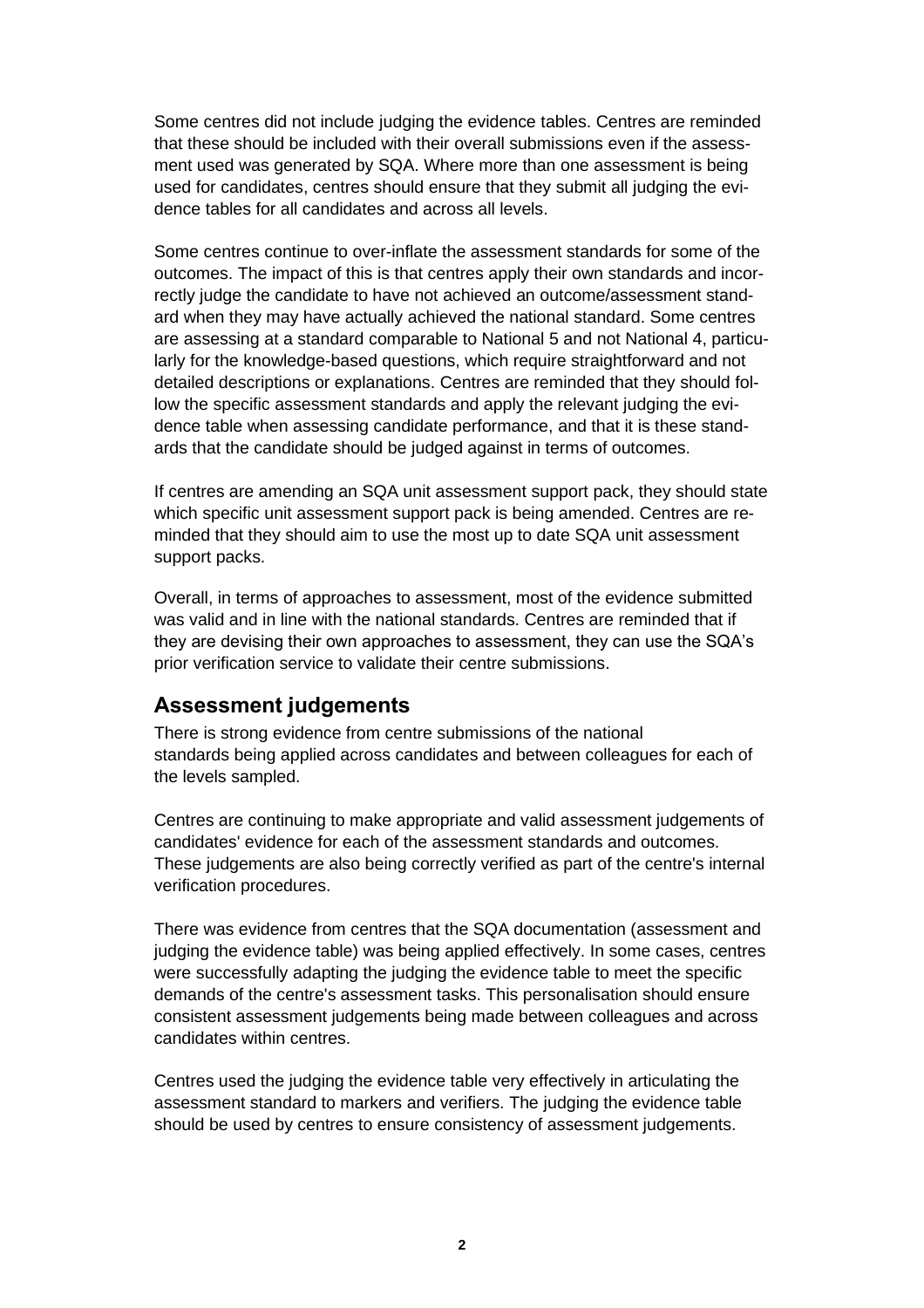Some centres did not include judging the evidence tables. Centres are reminded that these should be included with their overall submissions even if the assessment used was generated by SQA. Where more than one assessment is being used for candidates, centres should ensure that they submit all judging the evidence tables for all candidates and across all levels.

Some centres continue to over-inflate the assessment standards for some of the outcomes. The impact of this is that centres apply their own standards and incorrectly judge the candidate to have not achieved an outcome/assessment standard when they may have actually achieved the national standard. Some centres are assessing at a standard comparable to National 5 and not National 4, particularly for the knowledge-based questions, which require straightforward and not detailed descriptions or explanations. Centres are reminded that they should follow the specific assessment standards and apply the relevant judging the evidence table when assessing candidate performance, and that it is these standards that the candidate should be judged against in terms of outcomes.

If centres are amending an SQA unit assessment support pack, they should state which specific unit assessment support pack is being amended. Centres are reminded that they should aim to use the most up to date SQA unit assessment support packs.

Overall, in terms of approaches to assessment, most of the evidence submitted was valid and in line with the national standards. Centres are reminded that if they are devising their own approaches to assessment, they can use the SQA's prior verification service to validate their centre submissions.

#### **[Assessment](https://sqanow-my.sharepoint.com/personal/joanne_sammels_sqa_org_uk/Documents/Documents/NQ%20Visiting%20Verification%20Tracker%202020.xlsx?web=1) judgements**

There is strong evidence from centre submissions of the national standards being applied across candidates and between colleagues for each of the levels sampled.

Centres are continuing to make appropriate and valid assessment judgements of candidates' evidence for each of the assessment standards and outcomes. These judgements are also being correctly verified as part of the centre's internal verification procedures.

There was evidence from centres that the SQA documentation (assessment and judging the evidence table) was being applied effectively. In some cases, centres were successfully adapting the judging the evidence table to meet the specific demands of the centre's assessment tasks. This personalisation should ensure consistent assessment judgements being made between colleagues and across candidates within centres.

Centres used the judging the evidence table very effectively in articulating the assessment standard to markers and verifiers. The judging the evidence table should be used by centres to ensure consistency of assessment judgements.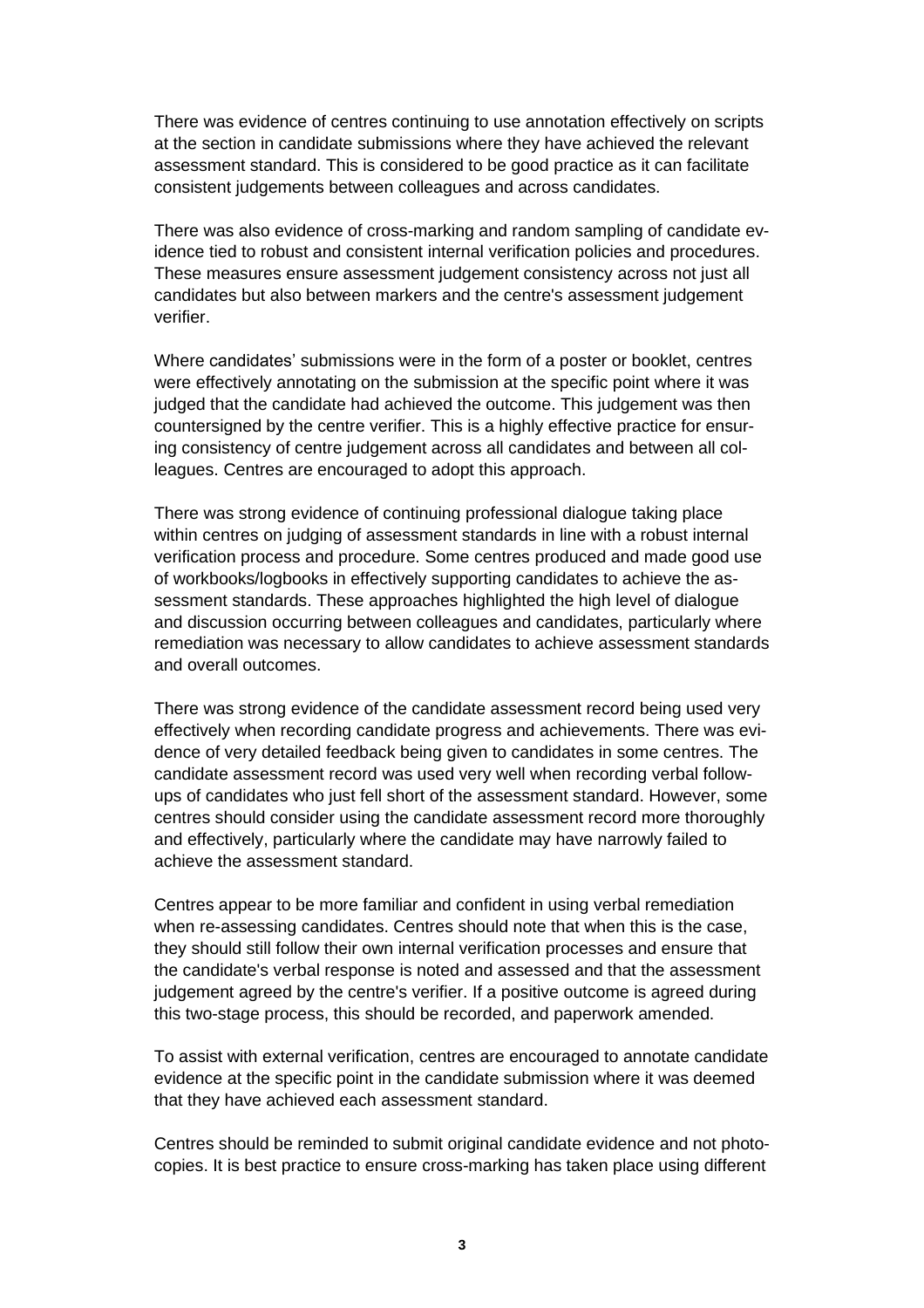There was evidence of centres continuing to use annotation effectively on scripts at the section in candidate submissions where they have achieved the relevant assessment standard. This is considered to be good practice as it can facilitate consistent judgements between colleagues and across candidates.

There was also evidence of cross-marking and random sampling of candidate evidence tied to robust and consistent internal verification policies and procedures. These measures ensure assessment judgement consistency across not just all candidates but also between markers and the centre's assessment judgement verifier.

Where candidates' submissions were in the form of a poster or booklet, centres were effectively annotating on the submission at the specific point where it was judged that the candidate had achieved the outcome. This judgement was then countersigned by the centre verifier. This is a highly effective practice for ensuring consistency of centre judgement across all candidates and between all colleagues. Centres are encouraged to adopt this approach.

There was strong evidence of continuing professional dialogue taking place within centres on judging of assessment standards in line with a robust internal verification process and procedure. Some centres produced and made good use of workbooks/logbooks in effectively supporting candidates to achieve the assessment standards. These approaches highlighted the high level of dialogue and discussion occurring between colleagues and candidates, particularly where remediation was necessary to allow candidates to achieve assessment standards and overall outcomes.

There was strong evidence of the candidate assessment record being used very effectively when recording candidate progress and achievements. There was evidence of very detailed feedback being given to candidates in some centres. The candidate assessment record was used very well when recording verbal followups of candidates who just fell short of the assessment standard. However, some centres should consider using the candidate assessment record more thoroughly and effectively, particularly where the candidate may have narrowly failed to achieve the assessment standard.

Centres appear to be more familiar and confident in using verbal remediation when re-assessing candidates. Centres should note that when this is the case, they should still follow their own internal verification processes and ensure that the candidate's verbal response is noted and assessed and that the assessment judgement agreed by the centre's verifier. If a positive outcome is agreed during this two-stage process, this should be recorded, and paperwork amended.

To assist with external verification, centres are encouraged to annotate candidate evidence at the specific point in the candidate submission where it was deemed that they have achieved each assessment standard.

Centres should be reminded to submit original candidate evidence and not photocopies. It is best practice to ensure cross-marking has taken place using different